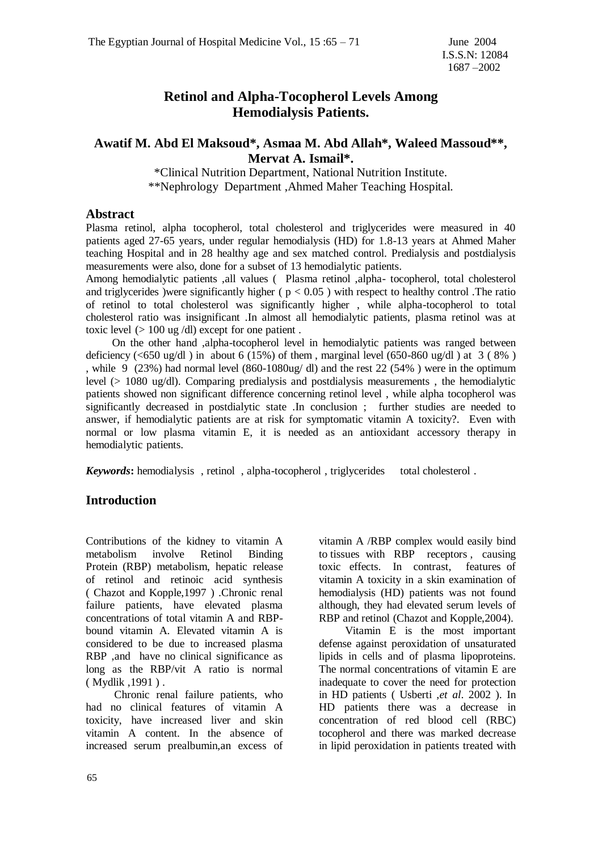# **Retinol and Alpha-Tocopherol Levels Among Hemodialysis Patients.**

## **Awatif M. Abd El Maksoud\*, Asmaa M. Abd Allah\*, Waleed Massoud\*\*, Mervat A. Ismail\*.**

\*Clinical Nutrition Department, National Nutrition Institute. \*\*Nephrology Department ,Ahmed Maher Teaching Hospital.

#### **Abstract**

Plasma retinol, alpha tocopherol, total cholesterol and triglycerides were measured in 40 patients aged 27-65 years, under regular hemodialysis (HD) for 1.8-13 years at Ahmed Maher teaching Hospital and in 28 healthy age and sex matched control. Predialysis and postdialysis measurements were also, done for a subset of 13 hemodialytic patients.

Among hemodialytic patients ,all values ( Plasma retinol ,alpha- tocopherol, total cholesterol and trigiverides )were significantly higher ( $p < 0.05$ ) with respect to healthy control. The ratio of retinol to total cholesterol was significantly higher , while alpha-tocopherol to total cholesterol ratio was insignificant .In almost all hemodialytic patients, plasma retinol was at toxic level  $(> 100 \text{ ug } / \text{dl})$  except for one patient.

 On the other hand ,alpha-tocopherol level in hemodialytic patients was ranged between deficiency (<650 ug/dl) in about 6 (15%) of them, marginal level (650-860 ug/dl) at  $3(8\%)$ , while 9 (23%) had normal level (860-1080ug/ dl) and the rest 22 (54% ) were in the optimum level (> 1080 ug/dl). Comparing predialysis and postdialysis measurements , the hemodialytic patients showed non significant difference concerning retinol level , while alpha tocopherol was significantly decreased in postdialytic state .In conclusion ; further studies are needed to answer, if hemodialytic patients are at risk for symptomatic vitamin A toxicity?. Even with normal or low plasma vitamin E, it is needed as an antioxidant accessory therapy in hemodialytic patients.

*Keywords***:** hemodialysis , retinol , alpha-tocopherol , triglycerides total cholesterol .

#### **Introduction**

Contributions of the kidney to vitamin A metabolism involve Retinol Binding Protein (RBP) metabolism, hepatic release of retinol and retinoic acid synthesis ( Chazot and Kopple,1997 ) .Chronic renal failure patients, have elevated plasma concentrations of total vitamin A and RBPbound vitamin A. Elevated vitamin A is considered to be due to increased plasma RBP ,and have no clinical significance as long as the RBP/vit A ratio is normal ( Mydlik ,1991 ) .

 Chronic renal failure patients, who had no clinical features of vitamin A toxicity, have increased liver and skin vitamin A content. In the absence of increased serum prealbumin,an excess of vitamin A /RBP complex would easily bind to tissues with RBP receptors , causing toxic effects. In contrast, features of vitamin A toxicity in a skin examination of hemodialysis (HD) patients was not found although, they had elevated serum levels of RBP and retinol (Chazot and Kopple,2004).

 Vitamin E is the most important defense against peroxidation of unsaturated lipids in cells and of plasma lipoproteins. The normal concentrations of vitamin E are inadequate to cover the need for protection in HD patients ( Usberti ,*et al*. 2002 ). In HD patients there was a decrease in concentration of red blood cell (RBC) tocopherol and there was marked decrease in lipid peroxidation in patients treated with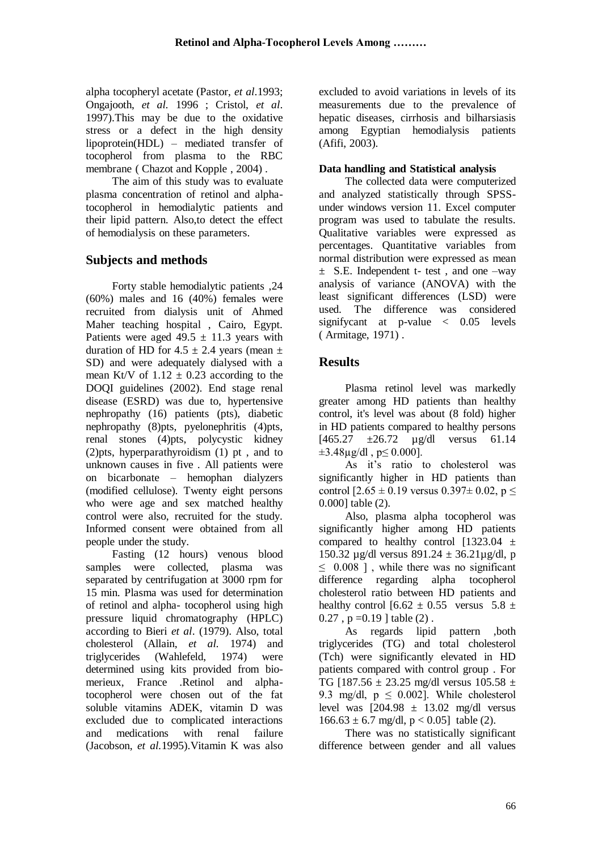alpha tocopheryl acetate (Pastor, *et al*.1993; Ongajooth, *et al.* 1996 ; Cristol, *et al*. 1997).This may be due to the oxidative stress or a defect in the high density lipoprotein(HDL) – mediated transfer of tocopherol from plasma to the RBC membrane ( Chazot and Kopple , 2004) .

 The aim of this study was to evaluate plasma concentration of retinol and alphatocopherol in hemodialytic patients and their lipid pattern. Also,to detect the effect of hemodialysis on these parameters.

# **Subjects and methods**

 Forty stable hemodialytic patients ,24  $(60\%)$  males and 16  $(40\%)$  females were recruited from dialysis unit of Ahmed Maher teaching hospital , Cairo, Egypt. Patients were aged  $49.5 \pm 11.3$  years with duration of HD for  $4.5 \pm 2.4$  years (mean  $\pm$ SD) and were adequately dialysed with a mean Kt/V of  $1.12 \pm 0.23$  according to the DOQI guidelines (2002). End stage renal disease (ESRD) was due to, hypertensive nephropathy (16) patients (pts), diabetic nephropathy (8)pts, pyelonephritis (4)pts, renal stones (4)pts, polycystic kidney (2)pts, hyperparathyroidism (1) pt , and to unknown causes in five . All patients were on bicarbonate – hemophan dialyzers (modified cellulose). Twenty eight persons who were age and sex matched healthy control were also, recruited for the study. Informed consent were obtained from all people under the study.

 Fasting (12 hours) venous blood samples were collected, plasma was separated by centrifugation at 3000 rpm for 15 min. Plasma was used for determination of retinol and alpha- tocopherol using high pressure liquid chromatography (HPLC) according to Bieri *et al*. (1979). Also, total cholesterol (Allain, *et al.* 1974) and triglycerides (Wahlefeld, 1974) were determined using kits provided from biomerieux, France .Retinol and alphatocopherol were chosen out of the fat soluble vitamins ADEK, vitamin D was excluded due to complicated interactions and medications with renal failure (Jacobson, *et al.*1995).Vitamin K was also

excluded to avoid variations in levels of its measurements due to the prevalence of hepatic diseases, cirrhosis and bilharsiasis among Egyptian hemodialysis patients (Afifi, 2003).

### **Data handling and Statistical analysis**

 The collected data were computerized and analyzed statistically through SPSSunder windows version 11. Excel computer program was used to tabulate the results. Qualitative variables were expressed as percentages. Quantitative variables from normal distribution were expressed as mean  $\pm$  S.E. Independent t- test, and one –way analysis of variance (ANOVA) with the least significant differences (LSD) were used. The difference was considered signifycant at p-value < 0.05 levels ( Armitage, 1971) .

## **Results**

 Plasma retinol level was markedly greater among HD patients than healthy control, it's level was about (8 fold) higher in HD patients compared to healthy persons  $[465.27 \pm 26.72 \text{ u} \text{g/dl} \text{ versus } 61.14]$ ±3.48µg/dl , p≤ 0.000].

 As it's ratio to cholesterol was significantly higher in HD patients than control  $[2.65 \pm 0.19$  versus  $0.397 \pm 0.02$ , p  $\le$ 0.000] table (2).

 Also, plasma alpha tocopherol was significantly higher among HD patients compared to healthy control  $[1323.04 \pm 1]$ 150.32  $\mu$ g/dl versus 891.24 ± 36.21 $\mu$ g/dl, p  $\leq$  0.008 ], while there was no significant difference regarding alpha tocopherol cholesterol ratio between HD patients and healthy control  $[6.62 \pm 0.55$  versus  $5.8 \pm$  $0.27$ ,  $p = 0.19$  | table (2).

 As regards lipid pattern ,both triglycerides (TG) and total cholesterol (Tch) were significantly elevated in HD patients compared with control group . For TG [187.56  $\pm$  23.25 mg/dl versus 105.58  $\pm$ 9.3 mg/dl,  $p \le 0.002$ ]. While cholesterol level was  $\left[204.98 \pm 13.02 \right]$  mg/dl versus  $166.63 \pm 6.7$  mg/dl,  $p < 0.05$ ] table (2).

 There was no statistically significant difference between gender and all values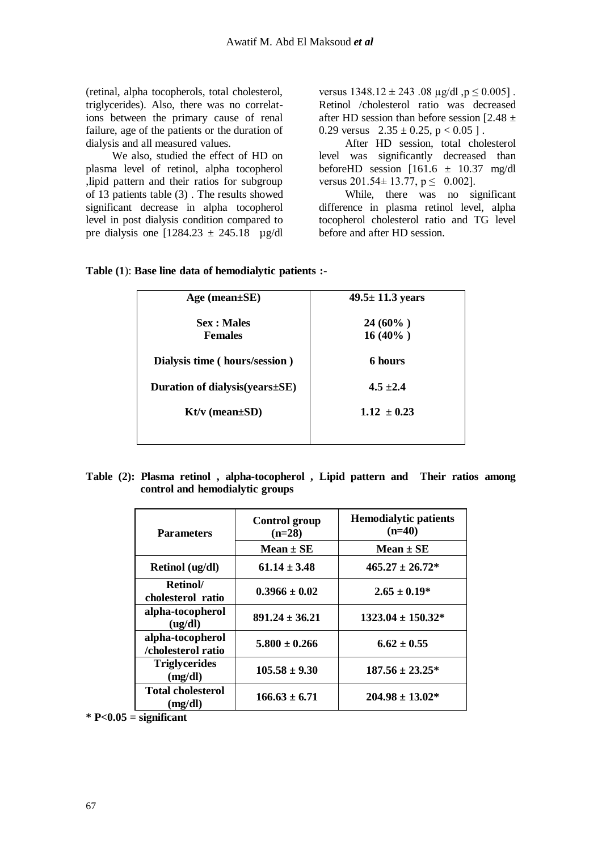(retinal, alpha tocopherols, total cholesterol, triglycerides). Also, there was no correlations between the primary cause of renal failure, age of the patients or the duration of dialysis and all measured values.

 We also, studied the effect of HD on plasma level of retinol, alpha tocopherol ,lipid pattern and their ratios for subgroup of 13 patients table (3) . The results showed significant decrease in alpha tocopherol level in post dialysis condition compared to pre dialysis one  $[1284.23 \pm 245.18 \quad \mu$ g/dl versus  $1348.12 \pm 243.08 \mu g/dl$ ,  $p \le 0.005$ . Retinol /cholesterol ratio was decreased after HD session than before session  $[2.48 \pm 1]$ 0.29 versus  $2.35 \pm 0.25$ , p < 0.05 ].

 After HD session, total cholesterol level was significantly decreased than before HD session  $[161.6 \pm 10.37 \text{ mg/d}]$ versus  $201.54 \pm 13.77$ ,  $p \le 0.002$ ].

 While, there was no significant difference in plasma retinol level, alpha tocopherol cholesterol ratio and TG level before and after HD session.

| Age (mean $\pm$ SE)                  | $49.5 \pm 11.3$ years    |
|--------------------------------------|--------------------------|
| <b>Sex</b> : Males<br><b>Females</b> | $24(60\%)$<br>$16(40\%)$ |
| Dialysis time (hours/session)        | 6 hours                  |
| Duration of dialysis (years ± SE)    | $4.5 \pm 2.4$            |
| $Kt/v$ (mean $\pm SD$ )              | $1.12 \pm 0.23$          |
|                                      |                          |

#### **Table (1**): **Base line data of hemodialytic patients :-**

**Table (2): Plasma retinol , alpha-tocopherol , Lipid pattern and Their ratios among control and hemodialytic groups**

| <b>Parameters</b>                      | <b>Control group</b><br>$(n=28)$ | <b>Hemodialytic patients</b><br>$(n=40)$ |
|----------------------------------------|----------------------------------|------------------------------------------|
|                                        | Mean $\pm$ SE                    | Mean $\pm$ SE                            |
| Retinol (ug/dl)                        | $61.14 + 3.48$                   | $465.27 \pm 26.72^*$                     |
| Retinol/<br>cholesterol ratio          | $0.3966 \pm 0.02$                | $2.65 \pm 0.19*$                         |
| alpha-tocopherol<br>(ug/dl)            | $891.24 \pm 36.21$               | $1323.04 \pm 150.32*$                    |
| alpha-tocopherol<br>/cholesterol ratio | $5.800 + 0.266$                  | $6.62 + 0.55$                            |
| <b>Triglycerides</b><br>(mg/dl)        | $105.58 + 9.30$                  | $187.56 \pm 23.25^*$                     |
| <b>Total cholesterol</b><br>(mg/dl)    | $166.63 + 6.71$                  | $204.98 \pm 13.02*$                      |

**\* P<0.05 = significant**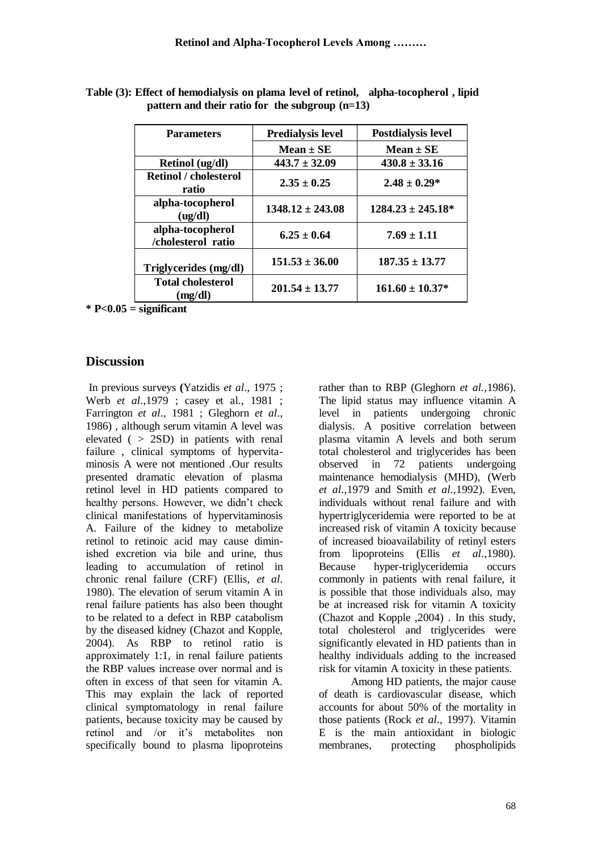| <b>Parameters</b>                      | <b>Predialysis level</b> | <b>Postdialysis level</b> |
|----------------------------------------|--------------------------|---------------------------|
|                                        | $Mean \pm SE$            | $Mean \pm SE$             |
| Retinol (ug/dl)                        | $443.7 \pm 32.09$        | $430.8 \pm 33.16$         |
| <b>Retinol</b> / cholesterol<br>ratio  | $2.35 + 0.25$            | $2.48 \pm 0.29*$          |
| alpha-tocopherol<br>(ug/dl)            | $1348.12 \pm 243.08$     | $1284.23 \pm 245.18^*$    |
| alpha-tocopherol<br>/cholesterol ratio | $6.25 + 0.64$            | $7.69 \pm 1.11$           |
| Triglycerides (mg/dl)                  | $151.53 \pm 36.00$       | $187.35 \pm 13.77$        |
| <b>Total cholesterol</b><br>(mg/dl)    | $201.54 \pm 13.77$       | $161.60 \pm 10.37*$       |

**Table (3): Effect of hemodialysis on plama level of retinol, alpha-tocopherol , lipid pattern and their ratio for the subgroup (n=13)**

**\* P<0.05 = significant**

### **Discussion**

In previous surveys **(**Yatzidis *et al*., 1975 ; Werb *et al*.,1979 ; casey et al., 1981 ; Farrington *et al*., 1981 ; Gleghorn *et al*., 1986) , although serum vitamin A level was elevated ( > 2SD) in patients with renal failure , clinical symptoms of hypervitaminosis A were not mentioned .Our results presented dramatic elevation of plasma retinol level in HD patients compared to healthy persons. However, we didn't check clinical manifestations of hypervitaminosis A. Failure of the kidney to metabolize retinol to retinoic acid may cause diminished excretion via bile and urine, thus leading to accumulation of retinol in chronic renal failure (CRF) (Ellis, *et al*. 1980). The elevation of serum vitamin A in renal failure patients has also been thought to be related to a defect in RBP catabolism by the diseased kidney (Chazot and Kopple, 2004). As RBP to retinol ratio is approximately 1:1, in renal failure patients the RBP values increase over normal and is often in excess of that seen for vitamin A. This may explain the lack of reported clinical symptomatology in renal failure patients, because toxicity may be caused by retinol and /or it's metabolites non specifically bound to plasma lipoproteins

rather than to RBP (Gleghorn *et al.,*1986). The lipid status may influence vitamin A level in patients undergoing chronic dialysis. A positive correlation between plasma vitamin A levels and both serum total cholesterol and triglycerides has been observed in 72 patients undergoing maintenance hemodialysis (MHD), (Werb *et al*.,1979 and Smith *et al.,*1992). Even, individuals without renal failure and with hypertriglyceridemia were reported to be at increased risk of vitamin A toxicity because of increased bioavailability of retinyl esters from lipoproteins (Ellis *et al*.,1980). Because hyper-triglyceridemia occurs commonly in patients with renal failure, it is possible that those individuals also, may be at increased risk for vitamin A toxicity (Chazot and Kopple ,2004) . In this study, total cholesterol and triglycerides were significantly elevated in HD patients than in healthy individuals adding to the increased risk for vitamin A toxicity in these patients.

 Among HD patients, the major cause of death is cardiovascular disease, which accounts for about 50% of the mortality in those patients (Rock *et al*., 1997). Vitamin E is the main antioxidant in biologic membranes, protecting phospholipids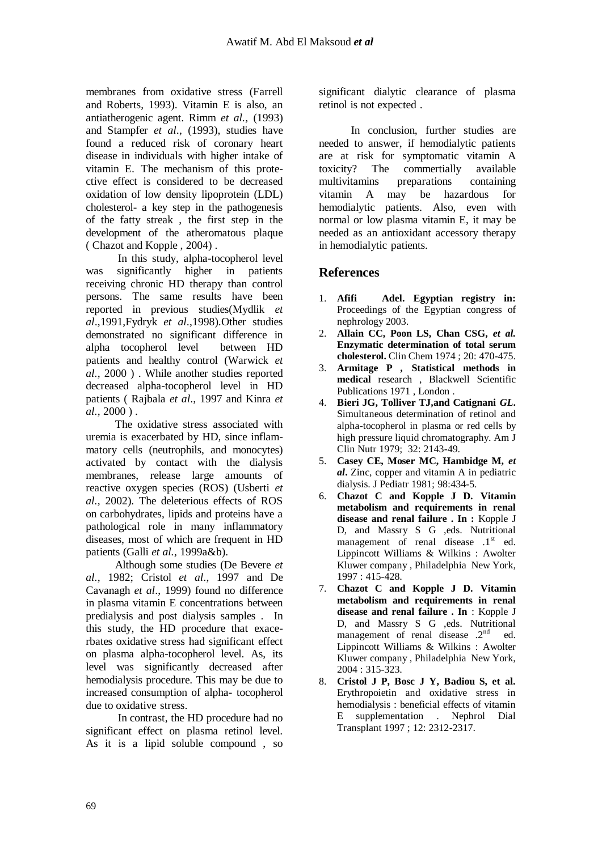membranes from oxidative stress (Farrell and Roberts, 1993). Vitamin E is also, an antiatherogenic agent. Rimm *et al.,* (1993) and Stampfer *et al*., (1993), studies have found a reduced risk of coronary heart disease in individuals with higher intake of vitamin E. The mechanism of this protective effect is considered to be decreased oxidation of low density lipoprotein (LDL) cholesterol- a key step in the pathogenesis of the fatty streak , the first step in the development of the atheromatous plaque ( Chazot and Kopple , 2004) .

 In this study, alpha-tocopherol level was significantly higher in patients receiving chronic HD therapy than control persons. The same results have been reported in previous studies(Mydlik *et al*.,1991,Fydryk *et al*.,1998).Other studies demonstrated no significant difference in alpha tocopherol level between HD patients and healthy control (Warwick *et al.,* 2000 ) . While another studies reported decreased alpha-tocopherol level in HD patients ( Rajbala *et al*., 1997 and Kinra *et al.,* 2000 ) .

 The oxidative stress associated with uremia is exacerbated by HD, since inflammatory cells (neutrophils, and monocytes) activated by contact with the dialysis membranes, release large amounts of reactive oxygen species (ROS) (Usberti *et al.,* 2002). The deleterious effects of ROS on carbohydrates, lipids and proteins have a pathological role in many inflammatory diseases, most of which are frequent in HD patients (Galli *et al.,* 1999a&b).

 Although some studies (De Bevere *et al.,* 1982; Cristol *et al*., 1997 and De Cavanagh *et al*., 1999) found no difference in plasma vitamin E concentrations between predialysis and post dialysis samples . In this study, the HD procedure that exacerbates oxidative stress had significant effect on plasma alpha-tocopherol level. As, its level was significantly decreased after hemodialysis procedure. This may be due to increased consumption of alpha- tocopherol due to oxidative stress.

 In contrast, the HD procedure had no significant effect on plasma retinol level. As it is a lipid soluble compound , so significant dialytic clearance of plasma retinol is not expected .

 In conclusion, further studies are needed to answer, if hemodialytic patients are at risk for symptomatic vitamin A toxicity? The commertially available multivitamins preparations containing vitamin A may be hazardous for hemodialytic patients. Also, even with normal or low plasma vitamin E, it may be needed as an antioxidant accessory therapy in hemodialytic patients.

## **References**

- 1. **Afifi Adel. Egyptian registry in:** Proceedings of the Egyptian congress of nephrology 2003.
- 2. **Allain CC, Poon LS, Chan CSG,** *et al.* **Enzymatic determination of total serum cholesterol.** Clin Chem 1974 ; 20: 470-475.
- 3. **Armitage P** *,* **Statistical methods in medical** research , Blackwell Scientific Publications 1971 , London .
- 4. **Bieri JG, Tolliver TJ,and Catignani** *GL***.** Simultaneous determination of retinol and alpha-tocopherol in plasma or red cells by high pressure liquid chromatography. Am J Clin Nutr 1979; 32: 2143-49.
- 5. **Casey CE, Moser MC, Hambidge M,** *et al***.** Zinc, copper and vitamin A in pediatric dialysis. J Pediatr 1981; 98:434-5.
- 6. **Chazot C and Kopple J D. Vitamin metabolism and requirements in renal disease and renal failure . In :** Kopple J D, and Massry S G ,eds. Nutritional management of renal disease  $.1<sup>st</sup>$  ed. Lippincott Williams & Wilkins : Awolter Kluwer company , Philadelphia New York, 1997 : 415-428.
- 7. **Chazot C and Kopple J D. Vitamin metabolism and requirements in renal disease and renal failure . In** : Kopple J D, and Massry S G ,eds. Nutritional management of renal disease .2<sup>nd</sup> ed. Lippincott Williams & Wilkins : Awolter Kluwer company , Philadelphia New York, 2004 : 315-323.
- 8. **Cristol J P, Bosc J Y, Badiou S, et al.** Erythropoietin and oxidative stress in hemodialysis : beneficial effects of vitamin E supplementation . Nephrol Dial Transplant 1997 ; 12: 2312-2317.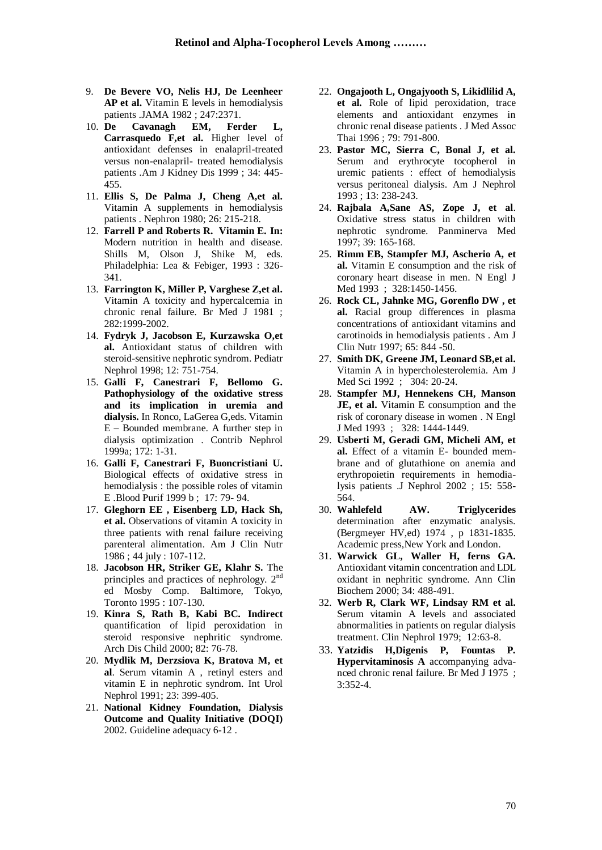- 9. **De Bevere VO, Nelis HJ, De Leenheer AP et al.** Vitamin E levels in hemodialysis patients .JAMA 1982 ; 247:2371.
- 10. **De Cavanagh EM, Ferder L, Carrasquedo F,et al.** Higher level of antioxidant defenses in enalapril-treated versus non-enalapril- treated hemodialysis patients .Am J Kidney Dis 1999 ; 34: 445- 455.
- 11. **Ellis S, De Palma J, Cheng A,et al.**  Vitamin A supplements in hemodialysis patients . Nephron 1980; 26: 215-218.
- 12. **Farrell P and Roberts R. Vitamin E***.* **In:** Modern nutrition in health and disease. Shills M, Olson J, Shike M, eds. Philadelphia: Lea & Febiger, 1993 : 326- 341.
- 13. **Farrington K, Miller P, Varghese Z,et al.** Vitamin A toxicity and hypercalcemia in chronic renal failure. Br Med J 1981 ; 282:1999-2002.
- 14. **Fydryk J, Jacobson E, Kurzawska O,et al.** Antioxidant status of children with steroid-sensitive nephrotic syndrom. Pediatr Nephrol 1998; 12: 751-754.
- 15. **Galli F, Canestrari F, Bellomo G. Pathophysiology of the oxidative stress and its implication in uremia and dialysis.** In Ronco, LaGerea G,eds. Vitamin E – Bounded membrane. A further step in dialysis optimization . Contrib Nephrol 1999a; 172: 1-31.
- 16. **Galli F, Canestrari F, Buoncristiani U.** Biological effects of oxidative stress in hemodialysis : the possible roles of vitamin E .Blood Purif 1999 b ; 17: 79- 94.
- 17. **Gleghorn EE , Eisenberg LD, Hack Sh, et al.** Observations of vitamin A toxicity in three patients with renal failure receiving parenteral alimentation. Am J Clin Nutr 1986 ; 44 july : 107-112.
- 18. **Jacobson HR, Striker GE, Klahr S.** The principles and practices of nephrology. 2<sup>nd</sup> ed Mosby Comp. Baltimore, Tokyo, Toronto 1995 : 107-130.
- 19. **Kinra S, Rath B, Kabi BC***.* **Indirect** quantification of lipid peroxidation in steroid responsive nephritic syndrome. Arch Dis Child 2000; 82: 76-78.
- 20. **Mydlik M, Derzsiova K, Bratova M, et al**. Serum vitamin A , retinyl esters and vitamin E in nephrotic syndrom. Int Urol Nephrol 1991; 23: 399-405.
- 21. **National Kidney Foundation, Dialysis Outcome and Quality Initiative (DOQI)** 2002. Guideline adequacy 6-12 .
- 22. **Ongajooth L, Ongajyooth S, Likidlilid A, et al***.* Role of lipid peroxidation, trace elements and antioxidant enzymes in chronic renal disease patients . J Med Assoc Thai 1996 ; 79: 791-800.
- 23. **Pastor MC, Sierra C, Bonal J, et al.** Serum and erythrocyte tocopherol in uremic patients : effect of hemodialysis versus peritoneal dialysis. Am J Nephrol 1993 ; 13: 238-243.
- 24. **Rajbala A,Sane AS, Zope J, et al**. Oxidative stress status in children with nephrotic syndrome. Panminerva Med 1997; 39: 165-168.
- 25. **Rimm EB, Stampfer MJ, Ascherio A, et al.** Vitamin E consumption and the risk of coronary heart disease in men. N Engl J Med 1993 ; 328:1450-1456.
- 26. **Rock CL, Jahnke MG, Gorenflo DW , et al.** Racial group differences in plasma concentrations of antioxidant vitamins and carotinoids in hemodialysis patients . Am J Clin Nutr 1997; 65: 844 -50.
- 27. **Smith DK, Greene JM, Leonard SB,et al.** Vitamin A in hypercholesterolemia. Am J Med Sci 1992 ; 304: 20-24.
- 28. **Stampfer MJ, Hennekens CH, Manson JE, et al.** Vitamin E consumption and the risk of coronary disease in women . N Engl J Med 1993 ; 328: 1444-1449.
- 29. **Usberti M, Geradi GM, Micheli AM, et al.** Effect of a vitamin E- bounded membrane and of glutathione on anemia and erythropoietin requirements in hemodialysis patients .J Nephrol 2002 ; 15: 558- 564.
- 30. **Wahlefeld AW. Triglycerides** determination after enzymatic analysis. (Bergmeyer HV,ed) 1974 , p 1831-1835. Academic press,New York and London.
- 31. **Warwick GL, Waller H, ferns GA.** Antioxidant vitamin concentration and LDL oxidant in nephritic syndrome. Ann Clin Biochem 2000; 34: 488-491.
- 32. **Werb R, Clark WF, Lindsay RM et al.** Serum vitamin A levels and associated abnormalities in patients on regular dialysis treatment. Clin Nephrol 1979; 12:63-8.
- 33. **Yatzidis H,Digenis P, Fountas P***.*  **Hypervitaminosis A** accompanying advanced chronic renal failure. Br Med J 1975 ; 3:352-4.